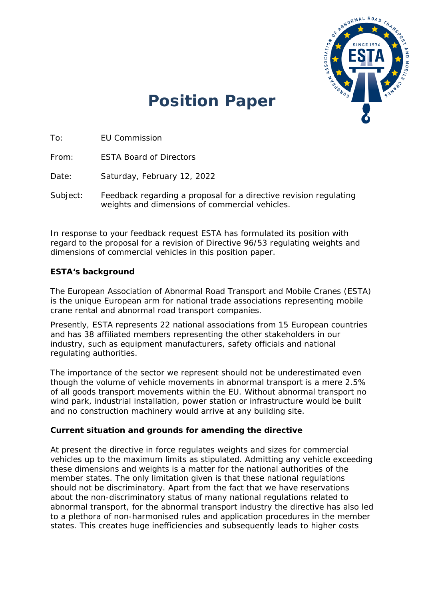

# **Position Paper**

To: EU Commission

From: ESTA Board of Directors

Date: Saturday, February 12, 2022

Subject: Feedback regarding a proposal for a directive revision regulating weights and dimensions of commercial vehicles.

In response to your feedback request ESTA has formulated its position with regard to the proposal for a revision of Directive 96/53 regulating weights and dimensions of commercial vehicles in this position paper.

## **ESTA's background**

The European Association of Abnormal Road Transport and Mobile Cranes (ESTA) is the unique European arm for national trade associations representing mobile crane rental and abnormal road transport companies.

Presently, ESTA represents 22 national associations from 15 European countries and has 38 affiliated members representing the other stakeholders in our industry, such as equipment manufacturers, safety officials and national regulating authorities.

The importance of the sector we represent should not be underestimated even though the volume of vehicle movements in abnormal transport is a mere 2.5% of all goods transport movements within the EU. Without abnormal transport no wind park, industrial installation, power station or infrastructure would be built and no construction machinery would arrive at any building site.

## **Current situation and grounds for amending the directive**

At present the directive in force regulates weights and sizes for commercial vehicles up to the maximum limits as stipulated. Admitting any vehicle exceeding these dimensions and weights is a matter for the national authorities of the member states. The only limitation given is that these national regulations should not be discriminatory. Apart from the fact that we have reservations about the non-discriminatory status of many national regulations related to abnormal transport, for the abnormal transport industry the directive has also led to a plethora of non-harmonised rules and application procedures in the member states. This creates huge inefficiencies and subsequently leads to higher costs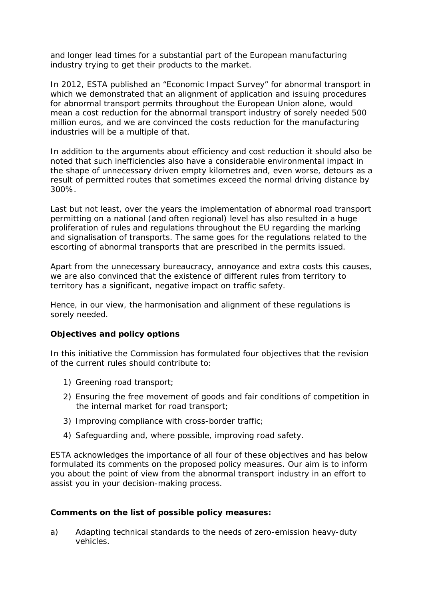and longer lead times for a substantial part of the European manufacturing industry trying to get their products to the market.

In 2012, ESTA published an "Economic Impact Survey" for abnormal transport in which we demonstrated that an alignment of application and issuing procedures for abnormal transport permits throughout the European Union alone, would mean a cost reduction for the abnormal transport industry of sorely needed 500 million euros, and we are convinced the costs reduction for the manufacturing industries will be a multiple of that.

In addition to the arguments about efficiency and cost reduction it should also be noted that such inefficiencies also have a considerable environmental impact in the shape of unnecessary driven empty kilometres and, even worse, detours as a result of permitted routes that sometimes exceed the normal driving distance by 300%.

Last but not least, over the years the implementation of abnormal road transport permitting on a national (and often regional) level has also resulted in a huge proliferation of rules and regulations throughout the EU regarding the marking and signalisation of transports. The same goes for the regulations related to the escorting of abnormal transports that are prescribed in the permits issued.

Apart from the unnecessary bureaucracy, annoyance and extra costs this causes, we are also convinced that the existence of different rules from territory to territory has a significant, negative impact on traffic safety.

Hence, in our view, the harmonisation and alignment of these regulations is sorely needed.

## **Objectives and policy options**

In this initiative the Commission has formulated four objectives that the revision of the current rules should contribute to:

- 1) Greening road transport;
- 2) Ensuring the free movement of goods and fair conditions of competition in the internal market for road transport;
- 3) Improving compliance with cross-border traffic;
- 4) Safeguarding and, where possible, improving road safety.

ESTA acknowledges the importance of all four of these objectives and has below formulated its comments on the proposed policy measures. Our aim is to inform you about the point of view from the abnormal transport industry in an effort to assist you in your decision-making process.

## **Comments on the list of possible policy measures:**

*a) Adapting technical standards to the needs of zero-emission heavy-duty vehicles.*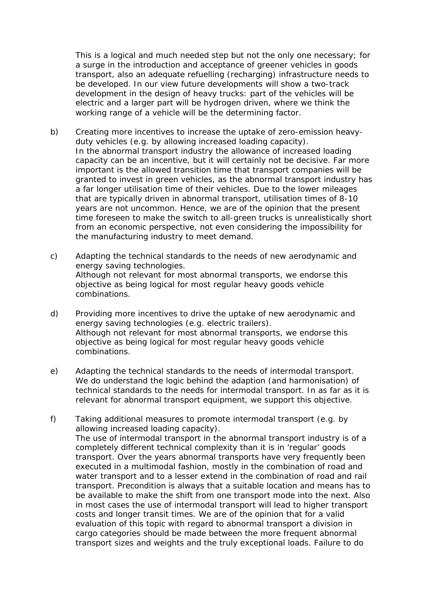This is a logical and much needed step but not the only one necessary; for a surge in the introduction and acceptance of greener vehicles in goods transport, also an adequate refuelling (recharging) infrastructure needs to be developed. In our view future developments will show a two-track development in the design of heavy trucks: part of the vehicles will be electric and a larger part will be hydrogen driven, where we think the working range of a vehicle will be the determining factor.

- *b) Creating more incentives to increase the uptake of zero-emission heavyduty vehicles (e.g. by allowing increased loading capacity).* In the abnormal transport industry the allowance of increased loading capacity can be an incentive, but it will certainly not be decisive. Far more important is the allowed transition time that transport companies will be granted to invest in green vehicles, as the abnormal transport industry has a far longer utilisation time of their vehicles. Due to the lower mileages that are typically driven in abnormal transport, utilisation times of 8-10 years are not uncommon. Hence, we are of the opinion that the present time foreseen to make the switch to all-green trucks is unrealistically short from an economic perspective, not even considering the impossibility for the manufacturing industry to meet demand.
- *c) Adapting the technical standards to the needs of new aerodynamic and energy saving technologies.* Although not relevant for most abnormal transports, we endorse this objective as being logical for most regular heavy goods vehicle combinations.
- *d) Providing more incentives to drive the uptake of new aerodynamic and energy saving technologies (e.g. electric trailers).* Although not relevant for most abnormal transports, we endorse this objective as being logical for most regular heavy goods vehicle combinations.
- *e) Adapting the technical standards to the needs of intermodal transport.* We do understand the logic behind the adaption (and harmonisation) of technical standards to the needs for intermodal transport. In as far as it is relevant for abnormal transport equipment, we support this objective.
- *f) Taking additional measures to promote intermodal transport (e.g. by allowing increased loading capacity).* The use of intermodal transport in the abnormal transport industry is of a completely different technical complexity than it is in 'regular' goods transport. Over the years abnormal transports have very frequently been executed in a multimodal fashion, mostly in the combination of road and water transport and to a lesser extend in the combination of road and rail transport. Precondition is always that a suitable location and means has to be available to make the shift from one transport mode into the next. Also in most cases the use of intermodal transport will lead to higher transport costs and longer transit times. We are of the opinion that for a valid evaluation of this topic with regard to abnormal transport a division in cargo categories should be made between the more frequent abnormal transport sizes and weights and the truly exceptional loads. Failure to do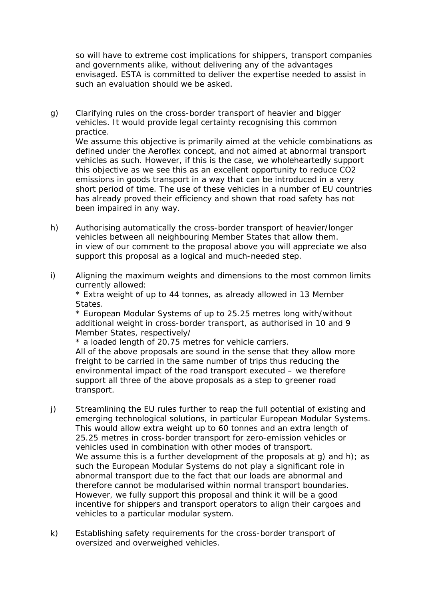so will have to extreme cost implications for shippers, transport companies and governments alike, without delivering any of the advantages envisaged. ESTA is committed to deliver the expertise needed to assist in such an evaluation should we be asked.

*g) Clarifying rules on the cross-border transport of heavier and bigger vehicles. It would provide legal certainty recognising this common practice.*

We assume this objective is primarily aimed at the vehicle combinations as defined under the Aeroflex concept, and not aimed at abnormal transport vehicles as such. However, if this is the case, we wholeheartedly support this objective as we see this as an excellent opportunity to reduce CO2 emissions in goods transport in a way that can be introduced in a very short period of time. The use of these vehicles in a number of EU countries has already proved their efficiency and shown that road safety has not been impaired in any way.

- *h) Authorising automatically the cross-border transport of heavier/longer vehicles between all neighbouring Member States that allow them.* in view of our comment to the proposal above you will appreciate we also support this proposal as a logical and much-needed step.
- *i) Aligning the maximum weights and dimensions to the most common limits currently allowed:*

*\* Extra weight of up to 44 tonnes, as already allowed in 13 Member States.*

*\* European Modular Systems of up to 25.25 metres long with/without additional weight in cross-border transport, as authorised in 10 and 9 Member States, respectively/*

*\* a loaded length of 20.75 metres for vehicle carriers.*

All of the above proposals are sound in the sense that they allow more freight to be carried in the same number of trips thus reducing the environmental impact of the road transport executed – we therefore support all three of the above proposals as a step to greener road transport.

- *j) Streamlining the EU rules further to reap the full potential of existing and emerging technological solutions, in particular European Modular Systems. This would allow extra weight up to 60 tonnes and an extra length of 25.25 metres in cross-border transport for zero-emission vehicles or vehicles used in combination with other modes of transport.* We assume this is a further development of the proposals at  $q$ ) and h); as such the European Modular Systems do not play a significant role in abnormal transport due to the fact that our loads are abnormal and therefore cannot be modularised within normal transport boundaries. However, we fully support this proposal and think it will be a good incentive for shippers and transport operators to align their cargoes and vehicles to a particular modular system.
- *k) Establishing safety requirements for the cross-border transport of oversized and overweighed vehicles.*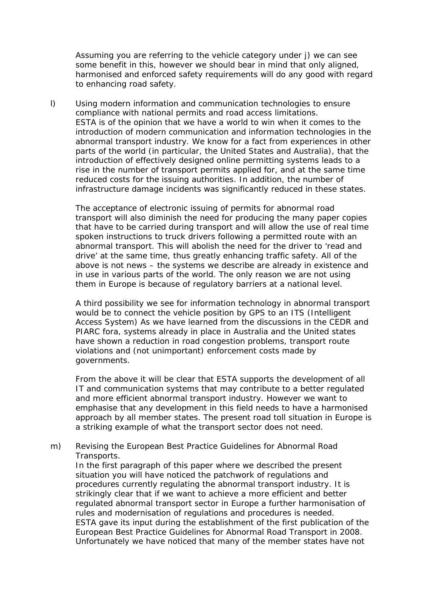Assuming you are referring to the vehicle category under j) we can see some benefit in this, however we should bear in mind that only aligned, harmonised and enforced safety requirements will do any good with regard to enhancing road safety.

*l) Using modern information and communication technologies to ensure compliance with national permits and road access limitations.* ESTA is of the opinion that we have a world to win when it comes to the introduction of modern communication and information technologies in the abnormal transport industry. We know for a fact from experiences in other parts of the world (in particular, the United States and Australia), that the introduction of effectively designed online permitting systems leads to a rise in the number of transport permits applied for, and at the same time reduced costs for the issuing authorities. In addition, the number of infrastructure damage incidents was significantly reduced in these states.

The acceptance of electronic issuing of permits for abnormal road transport will also diminish the need for producing the many paper copies that have to be carried during transport and will allow the use of real time spoken instructions to truck drivers following a permitted route with an abnormal transport. This will abolish the need for the driver to 'read and drive' at the same time, thus greatly enhancing traffic safety. All of the above is not news – the systems we describe are already in existence and in use in various parts of the world. The only reason we are not using them in Europe is because of regulatory barriers at a national level.

A third possibility we see for information technology in abnormal transport would be to connect the vehicle position by GPS to an ITS (Intelligent Access System) As we have learned from the discussions in the CEDR and PIARC fora, systems already in place in Australia and the United states have shown a reduction in road congestion problems, transport route violations and (not unimportant) enforcement costs made by governments.

From the above it will be clear that ESTA supports the development of all IT and communication systems that may contribute to a better regulated and more efficient abnormal transport industry. However we want to emphasise that any development in this field needs to have a harmonised approach by all member states. The present road toll situation in Europe is a striking example of what the transport sector does not need.

#### *m) Revising the European Best Practice Guidelines for Abnormal Road Transports.*

In the first paragraph of this paper where we described the present situation you will have noticed the patchwork of regulations and procedures currently regulating the abnormal transport industry. It is strikingly clear that if we want to achieve a more efficient and better regulated abnormal transport sector in Europe a further harmonisation of rules and modernisation of regulations and procedures is needed. ESTA gave its input during the establishment of the first publication of the European Best Practice Guidelines for Abnormal Road Transport in 2008. Unfortunately we have noticed that many of the member states have not